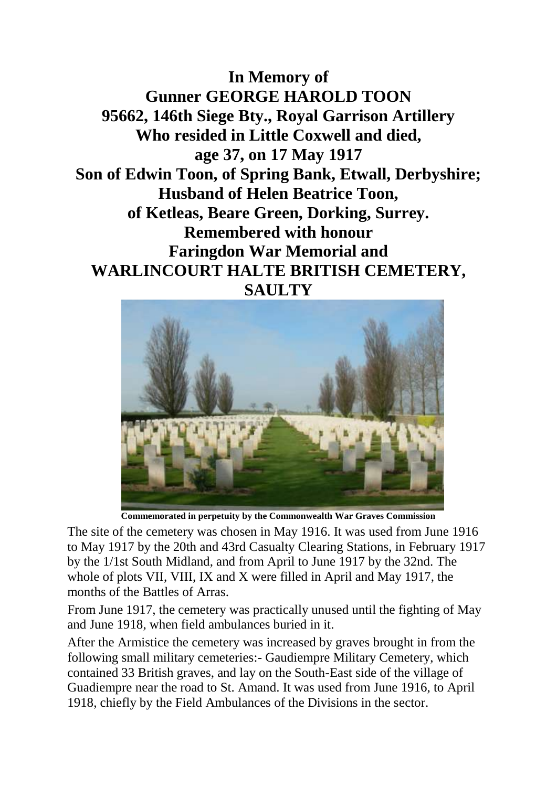**In Memory of Gunner GEORGE HAROLD TOON 95662, 146th Siege Bty., Royal Garrison Artillery Who resided in Little Coxwell and died, age 37, on 17 May 1917 Son of Edwin Toon, of Spring Bank, Etwall, Derbyshire; Husband of Helen Beatrice Toon, of Ketleas, Beare Green, Dorking, Surrey. Remembered with honour Faringdon War Memorial and WARLINCOURT HALTE BRITISH CEMETERY, SAULTY**



**Commemorated in perpetuity by the Commonwealth War Graves Commission** 

The site of the cemetery was chosen in May 1916. It was used from June 1916 to May 1917 by the 20th and 43rd Casualty Clearing Stations, in February 1917 by the 1/1st South Midland, and from April to June 1917 by the 32nd. The whole of plots VII, VIII, IX and X were filled in April and May 1917, the months of the Battles of Arras.

From June 1917, the cemetery was practically unused until the fighting of May and June 1918, when field ambulances buried in it.

After the Armistice the cemetery was increased by graves brought in from the following small military cemeteries:- Gaudiempre Military Cemetery, which contained 33 British graves, and lay on the South-East side of the village of Guadiempre near the road to St. Amand. It was used from June 1916, to April 1918, chiefly by the Field Ambulances of the Divisions in the sector.